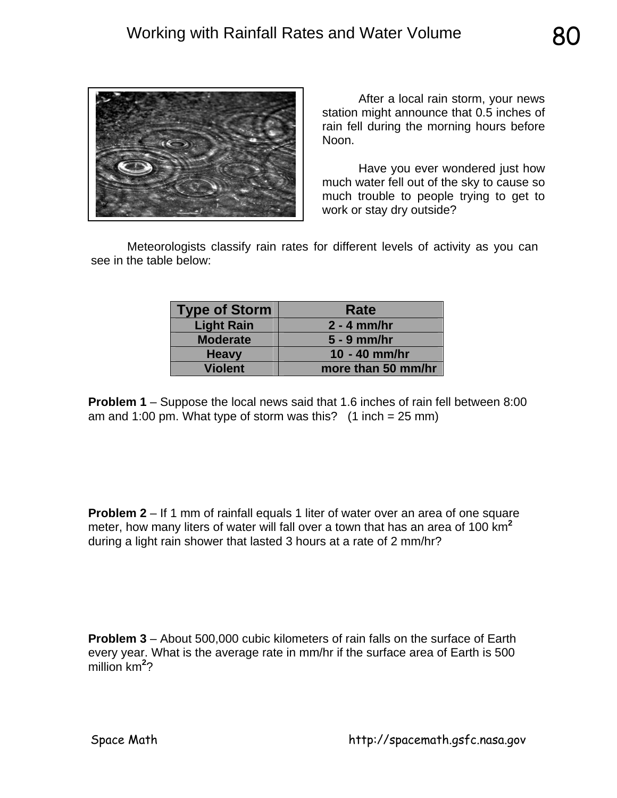

After a local rain storm, your news station might announce that 0.5 inches of rain fell during the morning hours before Noon.

 Have you ever wondered just how much water fell out of the sky to cause so much trouble to people trying to get to work or stay dry outside?

 Meteorologists classify rain rates for different levels of activity as you can see in the table below:

| <b>Type of Storm</b> | Rate               |
|----------------------|--------------------|
| <b>Light Rain</b>    | $2 - 4$ mm/hr      |
| <b>Moderate</b>      | $5 - 9$ mm/hr      |
| <b>Heavy</b>         | 10 - 40 mm/hr      |
| <b>Violent</b>       | more than 50 mm/hr |

**Problem 1** – Suppose the local news said that 1.6 inches of rain fell between 8:00 am and 1:00 pm. What type of storm was this?  $(1$  inch = 25 mm)

**Problem 2** – If 1 mm of rainfall equals 1 liter of water over an area of one square meter, how many liters of water will fall over a town that has an area of 100 km**<sup>2</sup>** during a light rain shower that lasted 3 hours at a rate of 2 mm/hr?

**Problem 3** – About 500,000 cubic kilometers of rain falls on the surface of Earth every year. What is the average rate in mm/hr if the surface area of Earth is 500 million km**<sup>2</sup>** ?